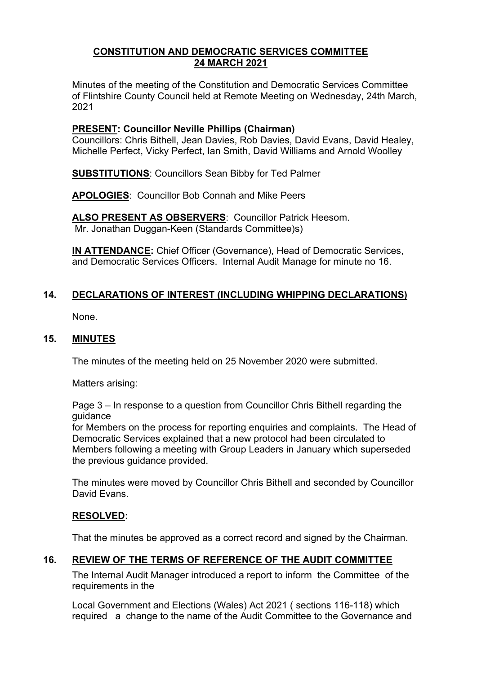### **CONSTITUTION AND DEMOCRATIC SERVICES COMMITTEE 24 MARCH 2021**

Minutes of the meeting of the Constitution and Democratic Services Committee of Flintshire County Council held at Remote Meeting on Wednesday, 24th March, 2021

### **PRESENT: Councillor Neville Phillips (Chairman)**

Councillors: Chris Bithell, Jean Davies, Rob Davies, David Evans, David Healey, Michelle Perfect, Vicky Perfect, Ian Smith, David Williams and Arnold Woolley

**SUBSTITUTIONS**: Councillors Sean Bibby for Ted Palmer

**APOLOGIES**: Councillor Bob Connah and Mike Peers

**ALSO PRESENT AS OBSERVERS**: Councillor Patrick Heesom. Mr. Jonathan Duggan-Keen (Standards Committee)s)

**IN ATTENDANCE:** Chief Officer (Governance), Head of Democratic Services, and Democratic Services Officers. Internal Audit Manage for minute no 16.

# **14. DECLARATIONS OF INTEREST (INCLUDING WHIPPING DECLARATIONS)**

None.

#### **15. MINUTES**

The minutes of the meeting held on 25 November 2020 were submitted.

Matters arising:

Page 3 – In response to a question from Councillor Chris Bithell regarding the guidance

for Members on the process for reporting enquiries and complaints. The Head of Democratic Services explained that a new protocol had been circulated to Members following a meeting with Group Leaders in January which superseded the previous guidance provided.

The minutes were moved by Councillor Chris Bithell and seconded by Councillor David Evans.

## **RESOLVED:**

That the minutes be approved as a correct record and signed by the Chairman.

#### **16. REVIEW OF THE TERMS OF REFERENCE OF THE AUDIT COMMITTEE**

The Internal Audit Manager introduced a report to inform the Committee of the requirements in the

Local Government and Elections (Wales) Act 2021 ( sections 116-118) which required a change to the name of the Audit Committee to the Governance and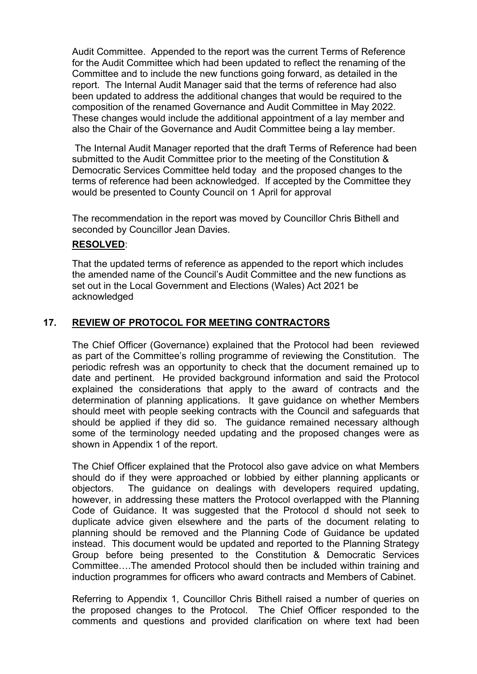Audit Committee. Appended to the report was the current Terms of Reference for the Audit Committee which had been updated to reflect the renaming of the Committee and to include the new functions going forward, as detailed in the report. The Internal Audit Manager said that the terms of reference had also been updated to address the additional changes that would be required to the composition of the renamed Governance and Audit Committee in May 2022. These changes would include the additional appointment of a lay member and also the Chair of the Governance and Audit Committee being a lay member.

The Internal Audit Manager reported that the draft Terms of Reference had been submitted to the Audit Committee prior to the meeting of the Constitution & Democratic Services Committee held today and the proposed changes to the terms of reference had been acknowledged. If accepted by the Committee they would be presented to County Council on 1 April for approval

The recommendation in the report was moved by Councillor Chris Bithell and seconded by Councillor Jean Davies.

### **RESOLVED**:

That the updated terms of reference as appended to the report which includes the amended name of the Council's Audit Committee and the new functions as set out in the Local Government and Elections (Wales) Act 2021 be acknowledged

# **17. REVIEW OF PROTOCOL FOR MEETING CONTRACTORS**

The Chief Officer (Governance) explained that the Protocol had been reviewed as part of the Committee's rolling programme of reviewing the Constitution. The periodic refresh was an opportunity to check that the document remained up to date and pertinent. He provided background information and said the Protocol explained the considerations that apply to the award of contracts and the determination of planning applications. It gave guidance on whether Members should meet with people seeking contracts with the Council and safeguards that should be applied if they did so. The guidance remained necessary although some of the terminology needed updating and the proposed changes were as shown in Appendix 1 of the report.

The Chief Officer explained that the Protocol also gave advice on what Members should do if they were approached or lobbied by either planning applicants or objectors. The guidance on dealings with developers required updating, however, in addressing these matters the Protocol overlapped with the Planning Code of Guidance. It was suggested that the Protocol d should not seek to duplicate advice given elsewhere and the parts of the document relating to planning should be removed and the Planning Code of Guidance be updated instead. This document would be updated and reported to the Planning Strategy Group before being presented to the Constitution & Democratic Services Committee….The amended Protocol should then be included within training and induction programmes for officers who award contracts and Members of Cabinet.

Referring to Appendix 1, Councillor Chris Bithell raised a number of queries on the proposed changes to the Protocol. The Chief Officer responded to the comments and questions and provided clarification on where text had been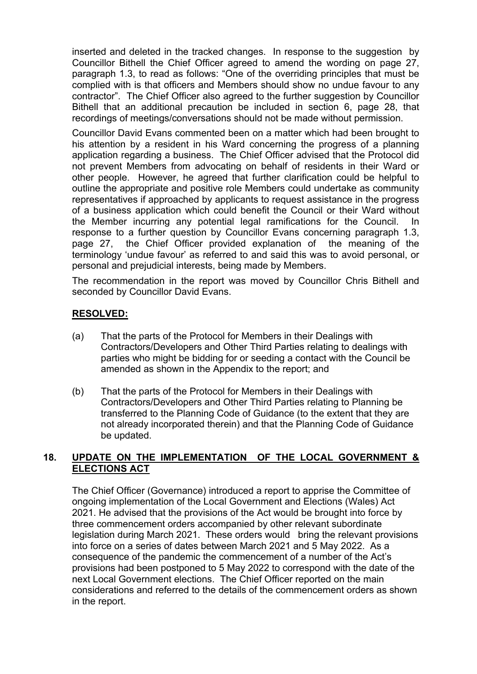inserted and deleted in the tracked changes. In response to the suggestion by Councillor Bithell the Chief Officer agreed to amend the wording on page 27, paragraph 1.3, to read as follows: "One of the overriding principles that must be complied with is that officers and Members should show no undue favour to any contractor". The Chief Officer also agreed to the further suggestion by Councillor Bithell that an additional precaution be included in section 6, page 28, that recordings of meetings/conversations should not be made without permission.

Councillor David Evans commented been on a matter which had been brought to his attention by a resident in his Ward concerning the progress of a planning application regarding a business. The Chief Officer advised that the Protocol did not prevent Members from advocating on behalf of residents in their Ward or other people. However, he agreed that further clarification could be helpful to outline the appropriate and positive role Members could undertake as community representatives if approached by applicants to request assistance in the progress of a business application which could benefit the Council or their Ward without the Member incurring any potential legal ramifications for the Council. In response to a further question by Councillor Evans concerning paragraph 1.3, page 27, the Chief Officer provided explanation of the meaning of the terminology 'undue favour' as referred to and said this was to avoid personal, or personal and prejudicial interests, being made by Members.

The recommendation in the report was moved by Councillor Chris Bithell and seconded by Councillor David Evans.

### **RESOLVED:**

- (a) That the parts of the Protocol for Members in their Dealings with Contractors/Developers and Other Third Parties relating to dealings with parties who might be bidding for or seeding a contact with the Council be amended as shown in the Appendix to the report; and
- (b) That the parts of the Protocol for Members in their Dealings with Contractors/Developers and Other Third Parties relating to Planning be transferred to the Planning Code of Guidance (to the extent that they are not already incorporated therein) and that the Planning Code of Guidance be updated.

### **18. UPDATE ON THE IMPLEMENTATION OF THE LOCAL GOVERNMENT & ELECTIONS ACT**

The Chief Officer (Governance) introduced a report to apprise the Committee of ongoing implementation of the Local Government and Elections (Wales) Act 2021. He advised that the provisions of the Act would be brought into force by three commencement orders accompanied by other relevant subordinate legislation during March 2021. These orders would bring the relevant provisions into force on a series of dates between March 2021 and 5 May 2022. As a consequence of the pandemic the commencement of a number of the Act's provisions had been postponed to 5 May 2022 to correspond with the date of the next Local Government elections. The Chief Officer reported on the main considerations and referred to the details of the commencement orders as shown in the report.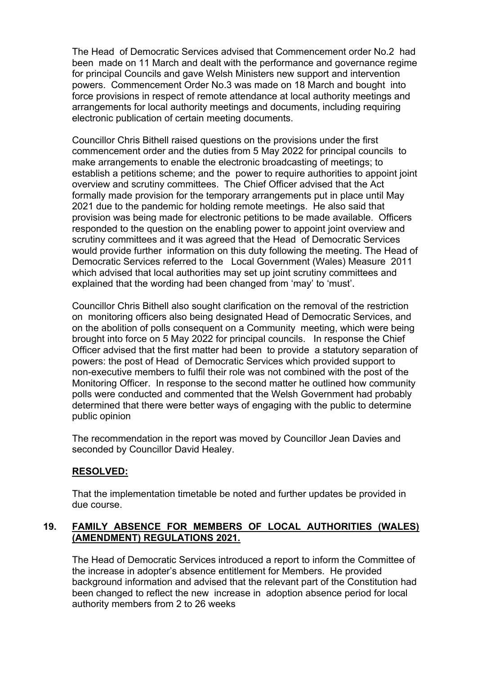The Head of Democratic Services advised that Commencement order No.2 had been made on 11 March and dealt with the performance and governance regime for principal Councils and gave Welsh Ministers new support and intervention powers. Commencement Order No.3 was made on 18 March and bought into force provisions in respect of remote attendance at local authority meetings and arrangements for local authority meetings and documents, including requiring electronic publication of certain meeting documents.

Councillor Chris Bithell raised questions on the provisions under the first commencement order and the duties from 5 May 2022 for principal councils to make arrangements to enable the electronic broadcasting of meetings; to establish a petitions scheme; and the power to require authorities to appoint joint overview and scrutiny committees. The Chief Officer advised that the Act formally made provision for the temporary arrangements put in place until May 2021 due to the pandemic for holding remote meetings. He also said that provision was being made for electronic petitions to be made available. Officers responded to the question on the enabling power to appoint joint overview and scrutiny committees and it was agreed that the Head of Democratic Services would provide further information on this duty following the meeting. The Head of Democratic Services referred to the Local Government (Wales) Measure 2011 which advised that local authorities may set up joint scrutiny committees and explained that the wording had been changed from 'may' to 'must'.

Councillor Chris Bithell also sought clarification on the removal of the restriction on monitoring officers also being designated Head of Democratic Services, and on the abolition of polls consequent on a Community meeting, which were being brought into force on 5 May 2022 for principal councils. In response the Chief Officer advised that the first matter had been to provide a statutory separation of powers: the post of Head of Democratic Services which provided support to non-executive members to fulfil their role was not combined with the post of the Monitoring Officer. In response to the second matter he outlined how community polls were conducted and commented that the Welsh Government had probably determined that there were better ways of engaging with the public to determine public opinion

The recommendation in the report was moved by Councillor Jean Davies and seconded by Councillor David Healey.

## **RESOLVED:**

That the implementation timetable be noted and further updates be provided in due course.

## **19. FAMILY ABSENCE FOR MEMBERS OF LOCAL AUTHORITIES (WALES) (AMENDMENT) REGULATIONS 2021.**

The Head of Democratic Services introduced a report to inform the Committee of the increase in adopter's absence entitlement for Members. He provided background information and advised that the relevant part of the Constitution had been changed to reflect the new increase in adoption absence period for local authority members from 2 to 26 weeks